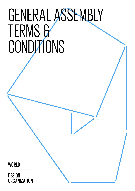# GENERAL ASSEMBLY TERMS &

WORLD

**DESIGN ORGANIZATION**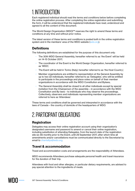# 1. INTRODUCTION

Each registered individual should read the terms and conditions below before completing the online registration process. After completing the online registration and submitting the form, it will be understood that the registered individuals have read, understood and agreed to all the content of this document.

The World Design Organization (WDO)™ reserves the right to amend these terms and conditions at any time and without prior notice.

The latest version of these terms and conditions is posted both in the online registration system and in the members' area of the WDO website (wdo.org).

### **Definitions**

The following definitions are established for the purpose of this document only:

- The 30th WDO General Assembly, hereafter referred to as 'the Event' will be held on 14-15 October 2017;
- The coordinator of the Event is the World Design Organization, hereafter referred to as 'WDO';
- − The Event will be held in Torino (Italy), hereafter referred to as 'the Host Country';
- − Member organizations are entitled to representation at the General Assembly by up to two (2) individuals, hereafter referred to as 'Delegates', who will be entitled to participate in the proceedings and place votes on behalf of their member organizations in accordance with the WDO Constitution and Bylaws;
- The General Assembly shall be closed to all other individuals except by special invitation from the Chairperson of the assembly – in accordance with the WDO Constitution and By-laws – to individuals who may observe the proceedings. Collectively, observers and individuals representing member organizations are referred to here as 'Attendees'.

These terms and conditions shall be governed and interpreted in accordance with the laws of Canada – the country of domicile of the headquarters of WDO.

# 2. PARTICIPANT OBLIGATIONS

# **Registration**

Delegates may access their online registration account using their organization's designated username and password to amend or cancel their online registration, including substitution of attending Delegates, from the launch date of the registration site six (6) months prior to the Event, until 29 September 2017, after which time all amendments and/or cancellations must be communicated directly to the Secretariat by email to [chantallya@wdo.org](mailto:chantallya%40wdo.org?subject=).

# **Travel & accommodation**

Travel and accommodation costs and arrangements are the responsibility of Attendees.

WDO recommends Attendees purchase adequate personal health and travel insurance for the duration of their trip.

Attendees with food and other allergies, or particular dietary requirements, are advised to pay special attention to the ingredients of meals.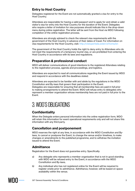# **Entry to Host Country**

Delegates registered for the Event are not automatically granted a visa for entry to the Host Country.

Attendees are responsible for having a valid passport and to apply for and obtain a valid visitor's visa for entry into the Host Country for the duration of the Event. Delegates who require a letter of invitation for visa purposes should indicate this in the drop-down menu during online registration. The letter will be sent from the Host via WDO following completion of the online registration process.

Attendees are strongly advised to check the relevant visa requirements with the government of the Host Country in advance of their dates of travel. For information on visa requirements for the Host Country, visit:<http://vistoperitalia.esteri.it/home/en>

The government of the Host Country holds the right to deny entry to Attendees who do not meet the requirements of a temporary tourist visa, or are prohibited from entering the Host Country in accordance with its laws and regulations.

# **Preparation & professional conduct**

WDO will deliver communications of good intentions to the registered Attendees relating to the registration process, agenda and proceedings, and logistics.

Attendees are expected to read all communications regarding the Event issued by WDO and respond in accordance with the deadlines stated.

Attendees are expected to be familiar with and abide by the regulations in the WDO Constitution and By-laws that govern their participation in the Event. Delegates are responsible for ensuring that all membership fees are paid in full prior to making arrangements to attend the Event. WDO will refuse entry to delegates who represent a member organization whose membership fees are not paid in full prior to the Event.

# 3. WDO'S OBLIGATIONS

# **Confidentiality**

When the Delegate enters personal information into the online registration form, WDO will retain this information for event operational requirements only and will not share this information with any third party.

# **Cancellation and postponement**

WDO reserves the right at any time, in accordance with the WDO Constitution and Bylaws, to cancel or postpone the Event, to change the venue and/or timelines, to make changes or amendments to the published programme, and to withdraw the invitation issued to attend the Event.

# **Admittance**

Registration for the Event does not guarantee entry. Specifically:

- a) Any delegate who represents a member organization that is not in good standing with WDO will be refused entry to the Event, in accordance with the WDO Constitution and By-laws;
- b) Any individual who has not registered online for the Event will be required to register onsite prior to admittance. Admittance, however, will be based on space availability within the venue;